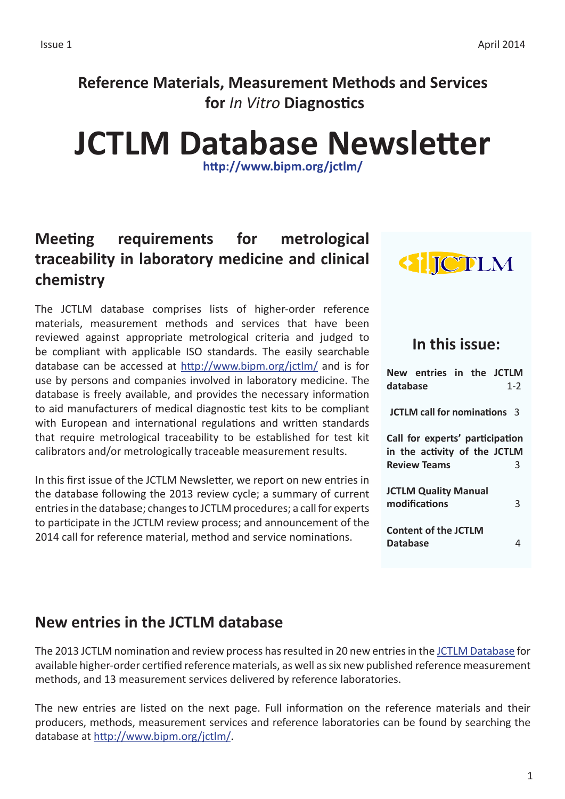# **Reference Materials, Measurement Methods and Services for** *In Vitro* **Diagnostics**

# **JCTLM Database Newsletter**

**<http://www.bipm.org/jctlm/>**

# **Meeting requirements for metrological traceability in laboratory medicine and clinical chemistry**

The JCTLM database comprises lists of higher-order reference materials, measurement methods and services that have been reviewed against appropriate metrological criteria and judged to be compliant with applicable ISO standards. The easily searchable database can be accessed at <http://www.bipm.org/jctlm/> and is for use by persons and companies involved in laboratory medicine. The database is freely available, and provides the necessary information to aid manufacturers of medical diagnostic test kits to be compliant with European and international regulations and written standards that require metrological traceability to be established for test kit calibrators and/or metrologically traceable measurement results.

In this first issue of the JCTLM Newsletter, we report on new entries in the database following the 2013 review cycle; a summary of current entries in the database; changes to JCTLM procedures; a call for experts to participate in the JCTLM review process; and announcement of the 2014 call for reference material, method and service nominations.



## **In this issue:**

**New entries in the JCTLM database** 1-2 **JCTLM call for nominations** 3 **Call for experts' participation in the activity of the JCTLM Review Teams** 3 **JCTLM Quality Manual modifications** 3 **Content of the JCTLM Database** 4

## **New entries in the JCTLM database**

The 2013 JCTLM nomination and review process has resulted in 20 new entries in the [JCTLM Database](http://www.bipm.org/jctlm/) for available higher-order certified reference materials, as well as six new published reference measurement methods, and 13 measurement services delivered by reference laboratories.

The new entries are listed on the next page. Full information on the reference materials and their producers, methods, measurement services and reference laboratories can be found by searching the database at <http://www.bipm.org/jctlm/>.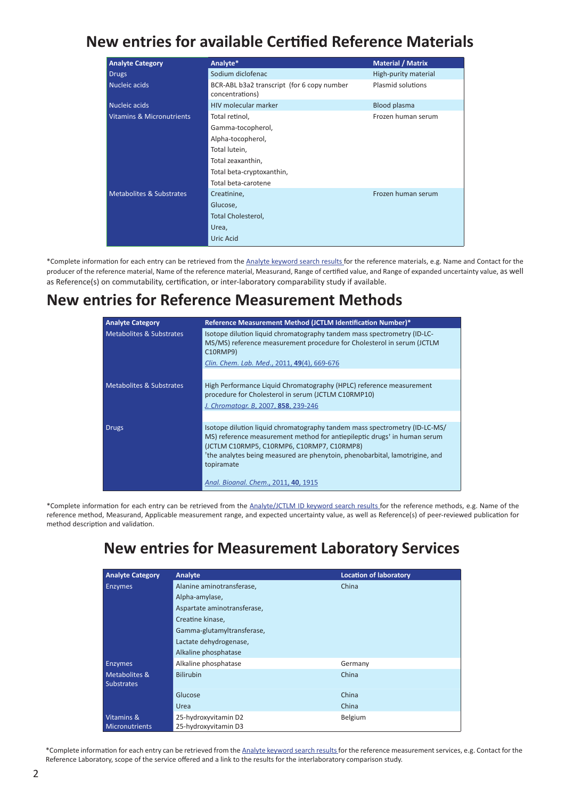## **New entries for available Certified Reference Materials**

| <b>Analyte Category</b>              | Analyte*                                                      | <b>Material / Matrix</b> |  |  |
|--------------------------------------|---------------------------------------------------------------|--------------------------|--|--|
| <b>Drugs</b>                         | Sodium diclofenac                                             | High-purity material     |  |  |
| Nucleic acids                        | BCR-ABL b3a2 transcript (for 6 copy number<br>concentrations) | Plasmid solutions        |  |  |
| Nucleic acids                        | <b>HIV molecular marker</b>                                   | Blood plasma             |  |  |
| <b>Vitamins &amp; Micronutrients</b> | Total retinol,                                                | Frozen human serum       |  |  |
|                                      | Gamma-tocopherol,                                             |                          |  |  |
|                                      | Alpha-tocopherol,                                             |                          |  |  |
|                                      | Total lutein,                                                 |                          |  |  |
|                                      | Total zeaxanthin,                                             |                          |  |  |
|                                      | Total beta-cryptoxanthin,                                     |                          |  |  |
|                                      | Total beta-carotene                                           |                          |  |  |
| <b>Metabolites &amp; Substrates</b>  | Creatinine,                                                   | Frozen human serum       |  |  |
|                                      | Glucose,                                                      |                          |  |  |
|                                      | Total Cholesterol,                                            |                          |  |  |
|                                      | Urea,                                                         |                          |  |  |
|                                      | <b>Uric Acid</b>                                              |                          |  |  |

\*Complete information for each entry can be retrieved from the [Analyte keyword search results](http://www.bipm.org/jctlm/) for the reference materials, e.g. Name and Contact for the producer of the reference material, Name of the reference material, Measurand, Range of certified value, and Range of expanded uncertainty value, as well as Reference(s) on commutability, certification, or inter-laboratory comparability study if available.

## **New entries for Reference Measurement Methods**

| <b>Analyte Category</b>  | Reference Measurement Method (JCTLM Identification Number)*                                                                                                                                                                                                                                                               |  |  |
|--------------------------|---------------------------------------------------------------------------------------------------------------------------------------------------------------------------------------------------------------------------------------------------------------------------------------------------------------------------|--|--|
| Metabolites & Substrates | Isotope dilution liquid chromatography tandem mass spectrometry (ID-LC-<br>MS/MS) reference measurement procedure for Cholesterol in serum (JCTLM<br>C10RMP9)<br>Clin. Chem. Lab. Med., 2011, 49(4), 669-676                                                                                                              |  |  |
|                          |                                                                                                                                                                                                                                                                                                                           |  |  |
| Metabolites & Substrates | High Performance Liquid Chromatography (HPLC) reference measurement<br>procedure for Cholesterol in serum (JCTLM C10RMP10)<br>J. Chromatogr. B, 2007, 858, 239-246                                                                                                                                                        |  |  |
|                          |                                                                                                                                                                                                                                                                                                                           |  |  |
| <b>Drugs</b>             | Isotope dilution liquid chromatography tandem mass spectrometry (ID-LC-MS/<br>MS) reference measurement method for antiepileptic drugs <sup>+</sup> in human serum<br>(JCTLM C10RMP5, C10RMP6, C10RMP7, C10RMP8)<br><sup>t</sup> the analytes being measured are phenytoin, phenobarbital, lamotrigine, and<br>topiramate |  |  |
|                          | Anal. Bioanal. Chem., 2011, 40, 1915                                                                                                                                                                                                                                                                                      |  |  |

\*Complete information for each entry can be retrieved from the [Analyte/JCTLM ID keyword search results f](http://www.bipm.org/jctlm/)or the reference methods, e.g. Name of the reference method, Measurand, Applicable measurement range, and expected uncertainty value, as well as Reference(s) of peer-reviewed publication for method description and validation.

# **New entries for Measurement Laboratory Services**

| <b>Analyte Category</b>  | Analyte                     | <b>Location of laboratory</b> |  |  |
|--------------------------|-----------------------------|-------------------------------|--|--|
| <b>Enzymes</b>           | Alanine aminotransferase,   | China                         |  |  |
|                          | Alpha-amylase,              |                               |  |  |
|                          | Aspartate aminotransferase, |                               |  |  |
|                          | Creatine kinase,            |                               |  |  |
|                          | Gamma-glutamyltransferase,  |                               |  |  |
|                          | Lactate dehydrogenase,      |                               |  |  |
|                          | Alkaline phosphatase        |                               |  |  |
| <b>Enzymes</b>           | Alkaline phosphatase        | Germany                       |  |  |
| <b>Metabolites &amp;</b> | <b>Bilirubin</b>            | China                         |  |  |
| <b>Substrates</b>        |                             |                               |  |  |
|                          | Glucose                     | China                         |  |  |
|                          | <b>Urea</b>                 | China                         |  |  |
| Vitamins &               | 25-hydroxyvitamin D2        | Belgium                       |  |  |
| <b>Micronutrients</b>    | 25-hydroxyvitamin D3        |                               |  |  |

\*Complete information for each entry can be retrieved from the [Analyte keyword search results](http://www.bipm.org/jctlm/) for the reference measurement services, e.g. Contact for the Reference Laboratory, scope of the service offered and a link to the results for the interlaboratory comparison study.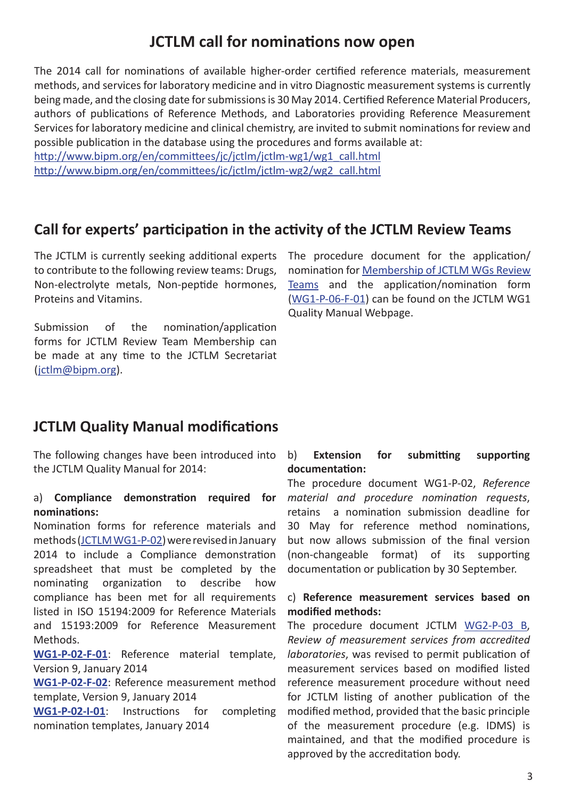## **JCTLM call for nominations now open**

The 2014 call for nominations of available higher-order certified reference materials, measurement methods, and services for laboratory medicine and in vitro Diagnostic measurement systems is currently being made, and the closing date for submissions is 30 May 2014. Certified Reference Material Producers, authors of publications of Reference Methods, and Laboratories providing Reference Measurement Services for laboratory medicine and clinical chemistry, are invited to submit nominations for review and possible publication in the database using the procedures and forms available at:

[http://www.bipm.org/en/committees/jc/jctlm/jctlm-wg1/wg1\\_call.html](http://www.bipm.org/en/committees/jc/jctlm/jctlm-wg1/wg1_call.html) [http://www.bipm.org/en/committees/jc/jctlm/jctlm-wg2/wg2\\_call.html](http://www.bipm.org/en/committees/jc/jctlm/jctlm-wg2/wg2_call.html)

### **Call for experts' participation in the activity of the JCTLM Review Teams**

The JCTLM is currently seeking additional experts to contribute to the following review teams: Drugs, Non‑electrolyte metals, Non-peptide hormones, Proteins and Vitamins.

Submission of the nomination/application forms for JCTLM Review Team Membership can be made at any time to the JCTLM Secretariat ([jctlm@bipm.org](mailto:mailto:jctlm%40bipm.org?subject=)).

The procedure document for the application/ nomination for [Membership of JCTLM WGs Review](http://www.bipm.org/utils/en/pdf/WG1-P-06.pdf) [Teams](http://www.bipm.org/utils/en/pdf/WG1-P-06.pdf) and the application/nomination form ([WG1-P-06-F-01](http://www.bipm.org/utils/en/doc/WG1-P-06-F-01.doc)) can be found on the JCTLM WG1 Quality Manual Webpage.

### **JCTLM Quality Manual modifications**

The following changes have been introduced into the JCTLM Quality Manual for 2014:

#### a) **Compliance demonstration required for nominations:**

Nomination forms for reference materials and methods [\(JCTLM WG1-P-02](http://www.bipm.org/utils/en/pdf/WG1-P-02.pdf)) were revised in January 2014 to include a Compliance demonstration spreadsheet that must be completed by the nominating organization to describe how compliance has been met for all requirements listed in ISO 15194:2009 for Reference Materials and 15193:2009 for Reference Measurement Methods.

**[WG1-P-02-F-01](http://www.bipm.org/utils/en/xls/WG1-P-02-F-01.xls)**: Reference material template, Version 9, January 2014

**[WG1-P-02-F-02](http://www.bipm.org/utils/en/xls/WG1-P-02-F-02.xls)**: Reference measurement method template, Version 9, January 2014

**[WG1-P-02-I-01](http://www.bipm.org/utils/en/pdf/WG1-P-02-I-01.pdf)**: Instructions for completing nomination templates, January 2014

#### b) **Extension for submitting supporting documentation:**

The procedure document WG1-P-02, *Reference material and procedure nomination requests*, retains a nomination submission deadline for 30 May for reference method nominations, but now allows submission of the final version (non-changeable format) of its supporting documentation or publication by 30 September.

#### c) **Reference measurement services based on modified methods:**

The procedure document JCTLM [WG2-P-03 B](http://www.bipm.org/utils/en/pdf/WG2-P-03B.pdf), *Review of measurement services from accredited laboratories*, was revised to permit publication of measurement services based on modified listed reference measurement procedure without need for JCTLM listing of another publication of the modified method, provided that the basic principle of the measurement procedure (e.g. IDMS) is maintained, and that the modified procedure is approved by the accreditation body.